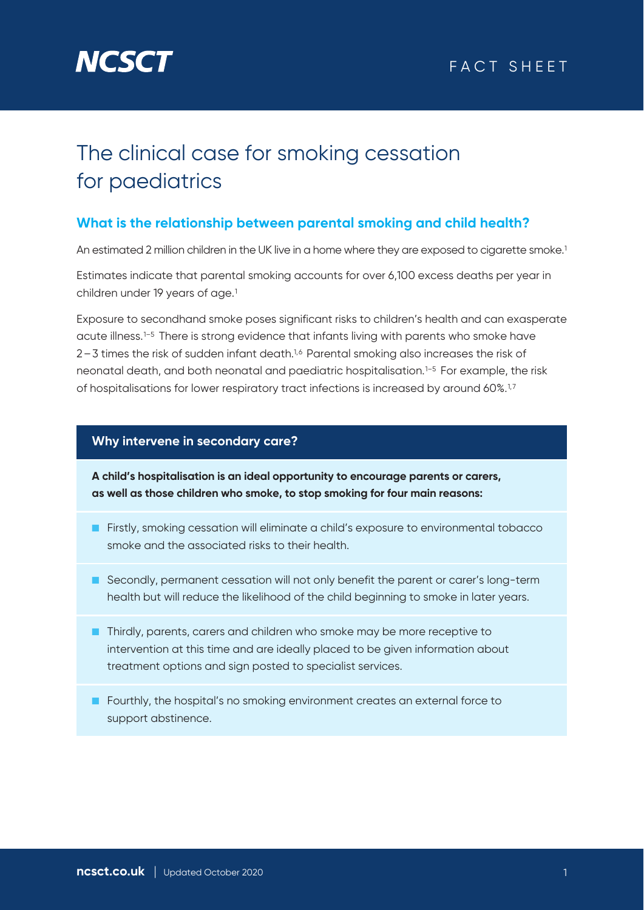

## The clinical case for smoking cessation for paediatrics

#### **What is the relationship between parental smoking and child health?**

An estimated 2 million children in the UK live in a home where they are exposed to cigarette smoke.<sup>1</sup>

Estimates indicate that parental smoking accounts for over 6,100 excess deaths per year in children under 19 years of age.<sup>1</sup>

Exposure to secondhand smoke poses significant risks to children's health and can exasperate acute illness.<sup>1-5</sup> There is strong evidence that infants living with parents who smoke have 2–3 times the risk of sudden infant death.1,6 Parental smoking also increases the risk of neonatal death, and both neonatal and paediatric hospitalisation.1–5 For example, the risk of hospitalisations for lower respiratory tract infections is increased by around 60%.1,7

#### **Why intervene in secondary care?**

**A child's hospitalisation is an ideal opportunity to encourage parents or carers, as well as those children who smoke, to stop smoking for four main reasons:**

- Firstly, smoking cessation will eliminate a child's exposure to environmental tobacco smoke and the associated risks to their health.
- Secondly, permanent cessation will not only benefit the parent or carer's long-term health but will reduce the likelihood of the child beginning to smoke in later years.
- Thirdly, parents, carers and children who smoke may be more receptive to intervention at this time and are ideally placed to be given information about treatment options and sign posted to specialist services.
- Fourthly, the hospital's no smoking environment creates an external force to support abstinence.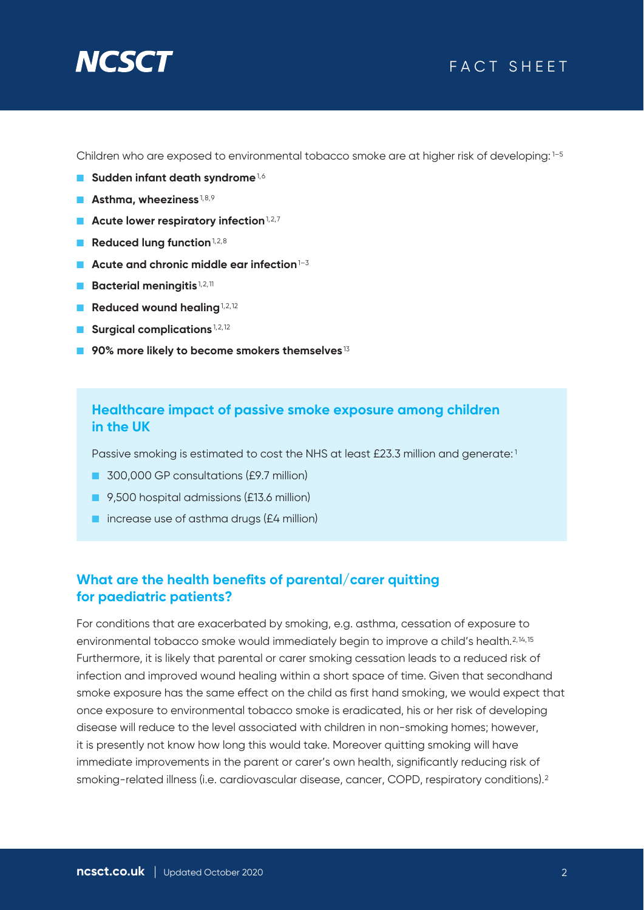# **NCSC**

## FACT SHEET

Children who are exposed to environmental tobacco smoke are at higher risk of developing: 1-5

- **Sudden infant death syndrome**<sup>1,6</sup>
- **Asthma, wheeziness**<sup>1,8,9</sup>
- **Acute lower respiratory infection**<sup>1,2,7</sup>
- **Reduced lung function**<sup>1,2,8</sup>
- **Acute and chronic middle ear infection**<sup>1–3</sup>
- **Bacterial meningitis**<sup>1,2,11</sup>
- **Reduced wound healing**<sup>1,2,12</sup>
- **Surgical complications**<sup>1,2,12</sup>
- 90% more likely to become smokers themselves<sup>13</sup>

#### **Healthcare impact of passive smoke exposure among children in the UK**

Passive smoking is estimated to cost the NHS at least £23.3 million and generate:<sup>1</sup>

- 300,000 GP consultations (£9.7 million)
- 9.500 hospital admissions (£13.6 million)
- increase use of asthma drugs (£4 million)

#### **What are the health benefits of parental/carer quitting for paediatric patients?**

For conditions that are exacerbated by smoking, e.g. asthma, cessation of exposure to environmental tobacco smoke would immediately begin to improve a child's health.2,14,15 Furthermore, it is likely that parental or carer smoking cessation leads to a reduced risk of infection and improved wound healing within a short space of time. Given that secondhand smoke exposure has the same effect on the child as first hand smoking, we would expect that once exposure to environmental tobacco smoke is eradicated, his or her risk of developing disease will reduce to the level associated with children in non-smoking homes; however, it is presently not know how long this would take. Moreover quitting smoking will have immediate improvements in the parent or carer's own health, significantly reducing risk of smoking-related illness (i.e. cardiovascular disease, cancer, COPD, respiratory conditions).2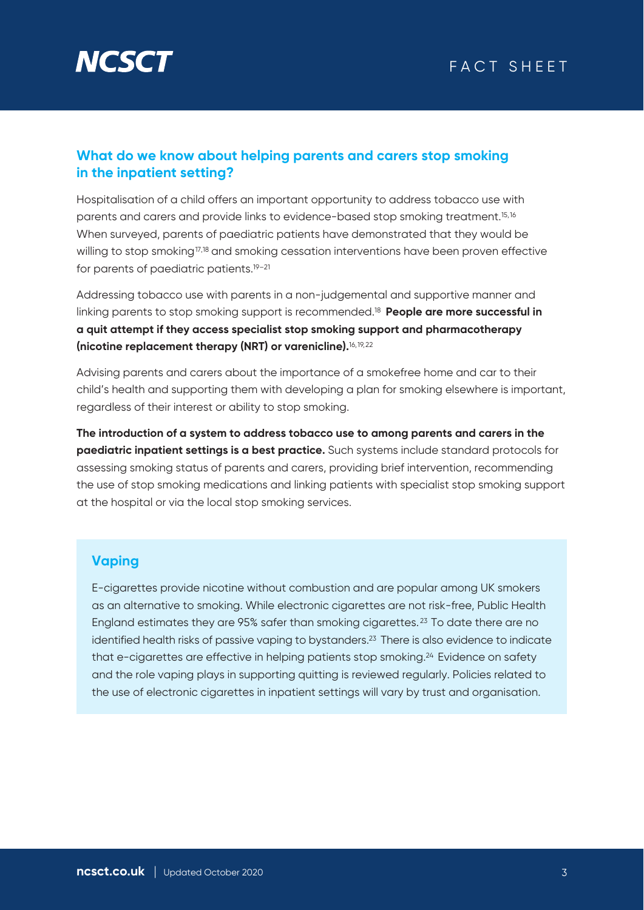

#### **What do we know about helping parents and carers stop smoking in the inpatient setting?**

Hospitalisation of a child offers an important opportunity to address tobacco use with parents and carers and provide links to evidence-based stop smoking treatment.15,16 When surveyed, parents of paediatric patients have demonstrated that they would be willing to stop smoking<sup>17,18</sup> and smoking cessation interventions have been proven effective for parents of paediatric patients.19–21

Addressing tobacco use with parents in a non-judgemental and supportive manner and linking parents to stop smoking support is recommended.18 **People are more successful in a quit attempt if they access specialist stop smoking support and pharmacotherapy (nicotine replacement therapy (NRT) or varenicline).**16,19,22

Advising parents and carers about the importance of a smokefree home and car to their child's health and supporting them with developing a plan for smoking elsewhere is important, regardless of their interest or ability to stop smoking.

**The introduction of a system to address tobacco use to among parents and carers in the paediatric inpatient settings is a best practice.** Such systems include standard protocols for assessing smoking status of parents and carers, providing brief intervention, recommending the use of stop smoking medications and linking patients with specialist stop smoking support at the hospital or via the local stop smoking services.

#### **Vaping**

E-cigarettes provide nicotine without combustion and are popular among UK smokers as an alternative to smoking. While electronic cigarettes are not risk-free, Public Health England estimates they are 95% safer than smoking cigarettes. 23 To date there are no identified health risks of passive vaping to bystanders.<sup>23</sup> There is also evidence to indicate that e-cigarettes are effective in helping patients stop smoking.24 Evidence on safety and the role vaping plays in supporting quitting is reviewed regularly. Policies related to the use of electronic cigarettes in inpatient settings will vary by trust and organisation.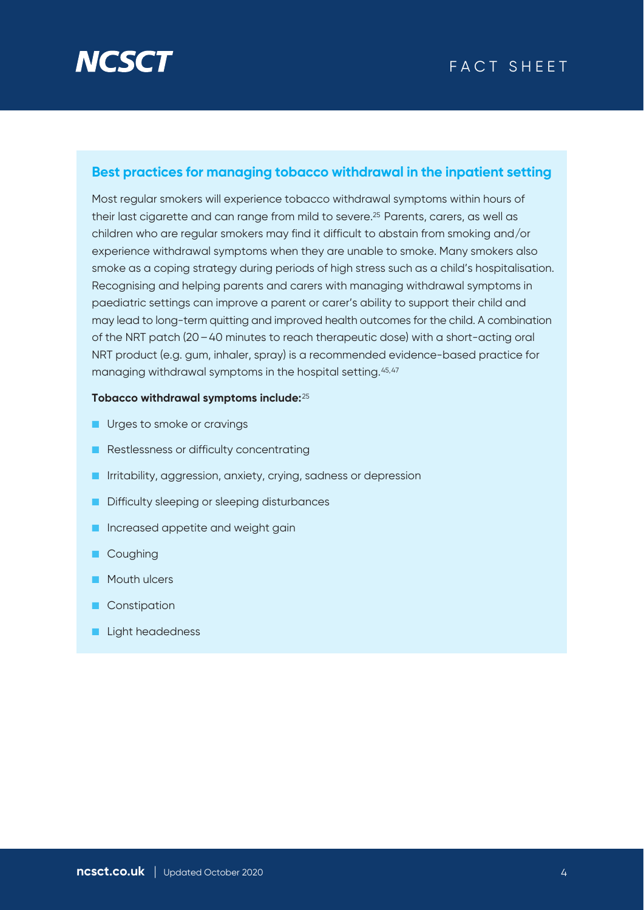

#### **Best practices for managing tobacco withdrawal in the inpatient setting**

Most regular smokers will experience tobacco withdrawal symptoms within hours of their last cigarette and can range from mild to severe.25 Parents, carers, as well as children who are regular smokers may find it difficult to abstain from smoking and/or experience withdrawal symptoms when they are unable to smoke. Many smokers also smoke as a coping strategy during periods of high stress such as a child's hospitalisation. Recognising and helping parents and carers with managing withdrawal symptoms in paediatric settings can improve a parent or carer's ability to support their child and may lead to long-term quitting and improved health outcomes for the child. A combination of the NRT patch (20–40 minutes to reach therapeutic dose) with a short-acting oral NRT product (e.g. gum, inhaler, spray) is a recommended evidence-based practice for managing withdrawal symptoms in the hospital setting.<sup>45,47</sup>

#### **Tobacco withdrawal symptoms include:**<sup>25</sup>

- Urges to smoke or cravings
- Restlessness or difficulty concentrating
- Irritability, aggression, anxiety, crying, sadness or depression
- Difficulty sleeping or sleeping disturbances
- Increased appetite and weight gain
- Coughing
- Mouth ulcers
- Constipation
- Light headedness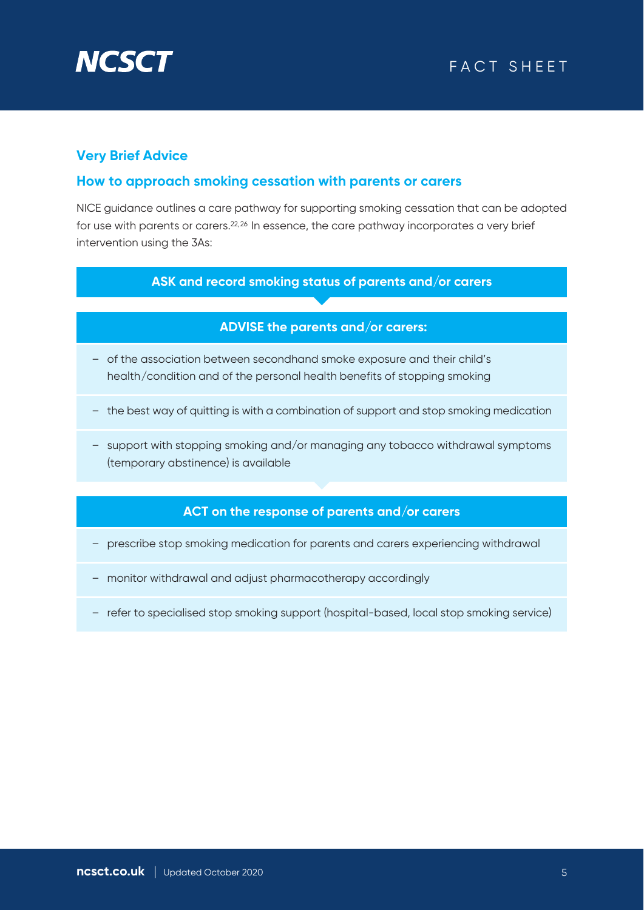

#### **Very Brief Advice**

#### **How to approach smoking cessation with parents or carers**

NICE guidance outlines a care pathway for supporting smoking cessation that can be adopted for use with parents or carers.22,26 In essence, the care pathway incorporates a very brief intervention using the 3As:

#### **ASK and record smoking status of parents and/or carers**

#### **ADVISE the parents and/or carers:**

- of the association between secondhand smoke exposure and their child's health/condition and of the personal health benefits of stopping smoking
- the best way of quitting is with a combination of support and stop smoking medication
- support with stopping smoking and/or managing any tobacco withdrawal symptoms (temporary abstinence) is available

#### **ACT on the response of parents and/or carers**

- prescribe stop smoking medication for parents and carers experiencing withdrawal
- monitor withdrawal and adjust pharmacotherapy accordingly
- refer to specialised stop smoking support (hospital-based, local stop smoking service)